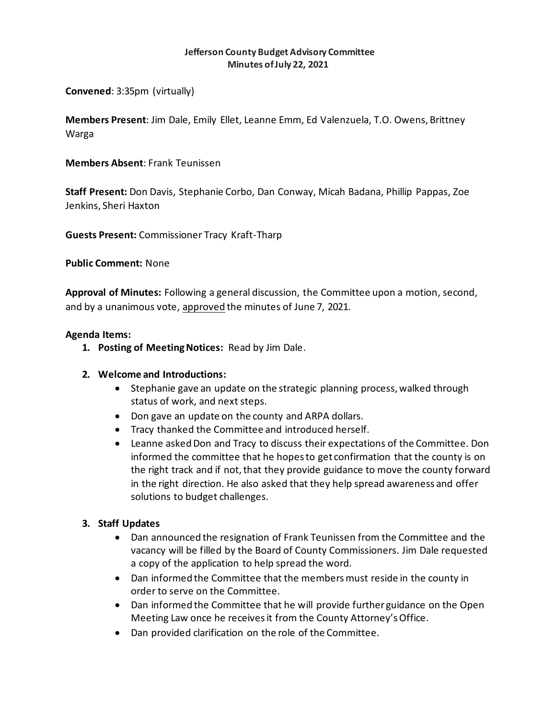#### **Jefferson County Budget Advisory Committee Minutes of July 22, 2021**

**Convened**: 3:35pm (virtually)

**Members Present**: Jim Dale, Emily Ellet, Leanne Emm, Ed Valenzuela, T.O. Owens, Brittney Warga

# **Members Absent**: Frank Teunissen

**Staff Present:** Don Davis, Stephanie Corbo, Dan Conway, Micah Badana, Phillip Pappas, Zoe Jenkins, Sheri Haxton

**Guests Present:** Commissioner Tracy Kraft-Tharp

**Public Comment:** None

**Approval of Minutes:** Following a general discussion, the Committee upon a motion, second, and by a unanimous vote, approved the minutes of June 7, 2021.

## **Agenda Items:**

**1. Posting of Meeting Notices:** Read by Jim Dale.

## **2. Welcome and Introductions:**

- Stephanie gave an update on the strategic planning process, walked through status of work, and next steps.
- Don gave an update on the county and ARPA dollars.
- Tracy thanked the Committee and introduced herself.
- Leanne asked Don and Tracy to discuss their expectations of the Committee. Don informed the committee that he hopes to get confirmation that the county is on the right track and if not, that they provide guidance to move the county forward in the right direction. He also asked that they help spread awareness and offer solutions to budget challenges.

## **3. Staff Updates**

- Dan announced the resignation of Frank Teunissen from the Committee and the vacancy will be filled by the Board of County Commissioners. Jim Dale requested a copy of the application to help spread the word.
- Dan informed the Committee that the members must reside in the county in order to serve on the Committee.
- Dan informed the Committee that he will provide further guidance on the Open Meeting Law once he receives it from the County Attorney's Office.
- Dan provided clarification on the role of the Committee.